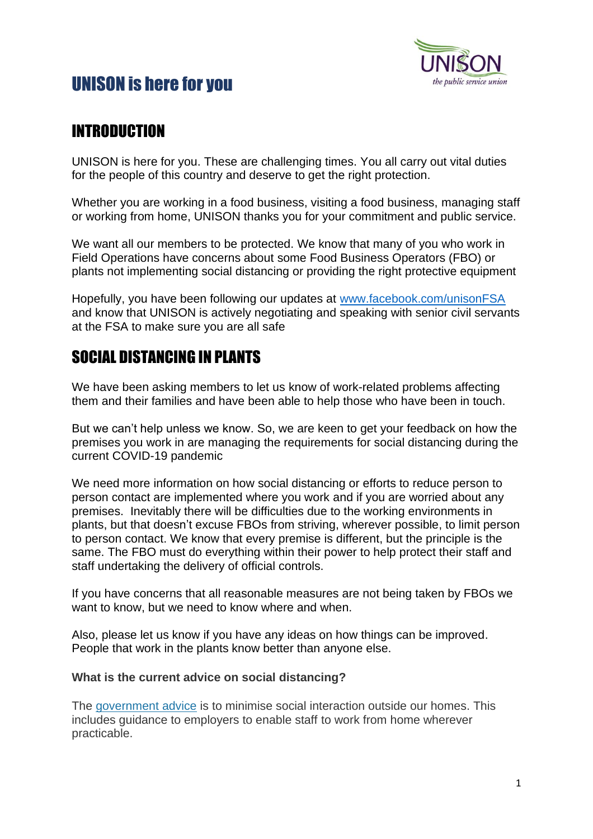# UNISON is here for you



### INTRODUCTION

UNISON is here for you. These are challenging times. You all carry out vital duties for the people of this country and deserve to get the right protection.

Whether you are working in a food business, visiting a food business, managing staff or working from home, UNISON thanks you for your commitment and public service.

We want all our members to be protected. We know that many of you who work in Field Operations have concerns about some Food Business Operators (FBO) or plants not implementing social distancing or providing the right protective equipment

Hopefully, you have been following our updates at [www.facebook.com/unisonFSA](http://www.facebook.com/unisonFSA) and know that UNISON is actively negotiating and speaking with senior civil servants at the FSA to make sure you are all safe

### SOCIAL DISTANCING IN PLANTS

We have been asking members to let us know of work-related problems affecting them and their families and have been able to help those who have been in touch.

But we can't help unless we know. So, we are keen to get your feedback on how the premises you work in are managing the requirements for social distancing during the current COVID-19 pandemic

We need more information on how social distancing or efforts to reduce person to person contact are implemented where you work and if you are worried about any premises. Inevitably there will be difficulties due to the working environments in plants, but that doesn't excuse FBOs from striving, wherever possible, to limit person to person contact. We know that every premise is different, but the principle is the same. The FBO must do everything within their power to help protect their staff and staff undertaking the delivery of official controls.

If you have concerns that all reasonable measures are not being taken by FBOs we want to know, but we need to know where and when.

Also, please let us know if you have any ideas on how things can be improved. People that work in the plants know better than anyone else.

### **What is the current advice on social distancing?**

The [government advice](https://www.gov.uk/government/publications/covid-19-guidance-on-social-distancing-and-for-vulnerable-people/guidance-on-social-distancing-for-everyone-in-the-uk-and-protecting-older-people-and-vulnerable-adults) is to minimise social interaction outside our homes. This includes guidance to employers to enable staff to work from home wherever practicable.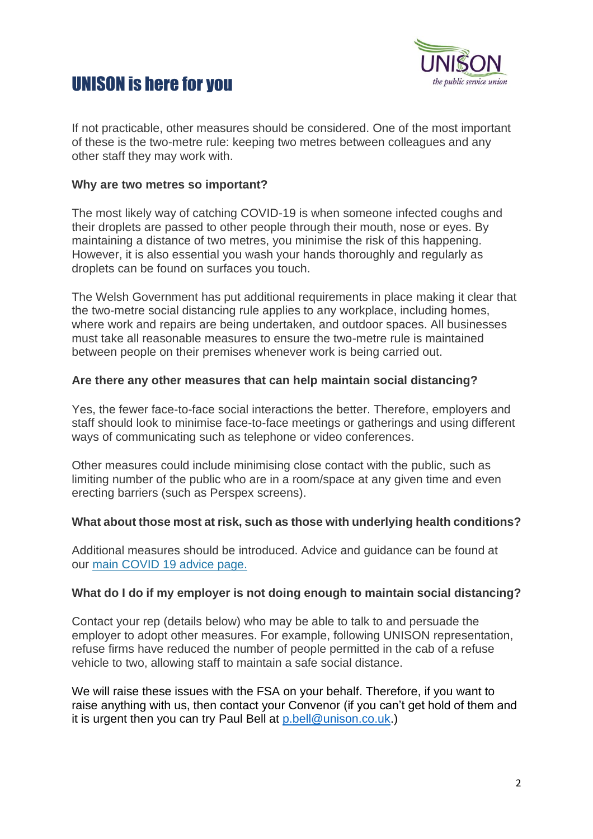



If not practicable, other measures should be considered. One of the most important of these is the two-metre rule: keeping two metres between colleagues and any other staff they may work with.

#### **Why are two metres so important?**

The most likely way of catching COVID-19 is when someone infected coughs and their droplets are passed to other people through their mouth, nose or eyes. By maintaining a distance of two metres, you minimise the risk of this happening. However, it is also essential you wash your hands thoroughly and regularly as droplets can be found on surfaces you touch.

The Welsh Government has put additional requirements in place making it clear that the two-metre social distancing rule applies to any workplace, including homes, where work and repairs are being undertaken, and outdoor spaces. All businesses must take all reasonable measures to ensure the two-metre rule is maintained between people on their premises whenever work is being carried out.

#### **Are there any other measures that can help maintain social distancing?**

Yes, the fewer face-to-face social interactions the better. Therefore, employers and staff should look to minimise face-to-face meetings or gatherings and using different ways of communicating such as telephone or video conferences.

Other measures could include minimising close contact with the public, such as limiting number of the public who are in a room/space at any given time and even erecting barriers (such as Perspex screens).

#### **What about those most at risk, such as those with underlying health conditions?**

Additional measures should be introduced. Advice and guidance can be found at our [main COVID 19 advice page.](https://www.unison.org.uk/coronavirus-rights-work/)

#### **What do I do if my employer is not doing enough to maintain social distancing?**

Contact your rep (details below) who may be able to talk to and persuade the employer to adopt other measures. For example, following UNISON representation, refuse firms have reduced the number of people permitted in the cab of a refuse vehicle to two, allowing staff to maintain a safe social distance.

We will raise these issues with the FSA on your behalf. Therefore, if you want to raise anything with us, then contact your Convenor (if you can't get hold of them and it is urgent then you can try Paul Bell at [p.bell@unison.co.uk.](mailto:p.bell@unison.co.uk))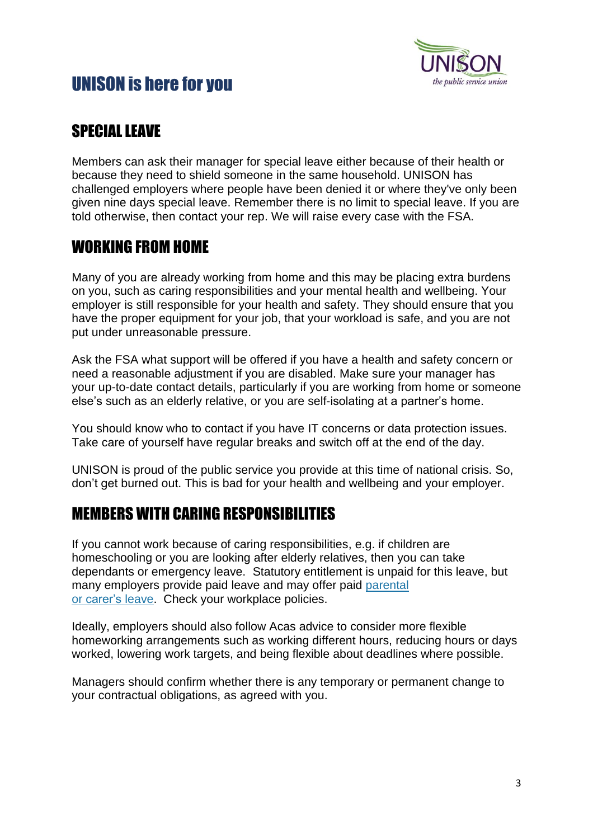

# UNISON is here for you

## SPECIAL LEAVE

Members can ask their manager for special leave either because of their health or because they need to shield someone in the same household. UNISON has challenged employers where people have been denied it or where they've only been given nine days special leave. Remember there is no limit to special leave. If you are told otherwise, then contact your rep. We will raise every case with the FSA.

### WORKING FROM HOME

Many of you are already working from home and this may be placing extra burdens on you, such as caring responsibilities and your mental health and wellbeing. Your employer is still responsible for your health and safety. They should ensure that you have the proper equipment for your job, that your workload is safe, and you are not put under unreasonable pressure.

Ask the FSA what support will be offered if you have a health and safety concern or need a reasonable adjustment if you are disabled. Make sure your manager has your up-to-date contact details, particularly if you are working from home or someone else's such as an elderly relative, or you are self-isolating at a partner's home.

You should know who to contact if you have IT concerns or data protection issues. Take care of yourself have regular breaks and switch off at the end of the day.

UNISON is proud of the public service you provide at this time of national crisis. So, don't get burned out. This is bad for your health and wellbeing and your employer.

### MEMBERS WITH CARING RESPONSIBILITIES

If you cannot work because of caring responsibilities, e.g. if children are homeschooling or you are looking after elderly relatives, then you can take dependants or emergency leave. Statutory entitlement is unpaid for this leave, but many employers provide paid leave and may offer paid [parental](https://www.unison.org.uk/get-help/knowledge/leave/parental-leave/) or [carer's](https://www.unison.org.uk/get-help/knowledge/leave/parental-leave/) leave. Check your workplace policies.

Ideally, employers should also follow Acas advice to consider more flexible homeworking arrangements such as working different hours, reducing hours or days worked, lowering work targets, and being flexible about deadlines where possible.

Managers should confirm whether there is any temporary or permanent change to your contractual obligations, as agreed with you.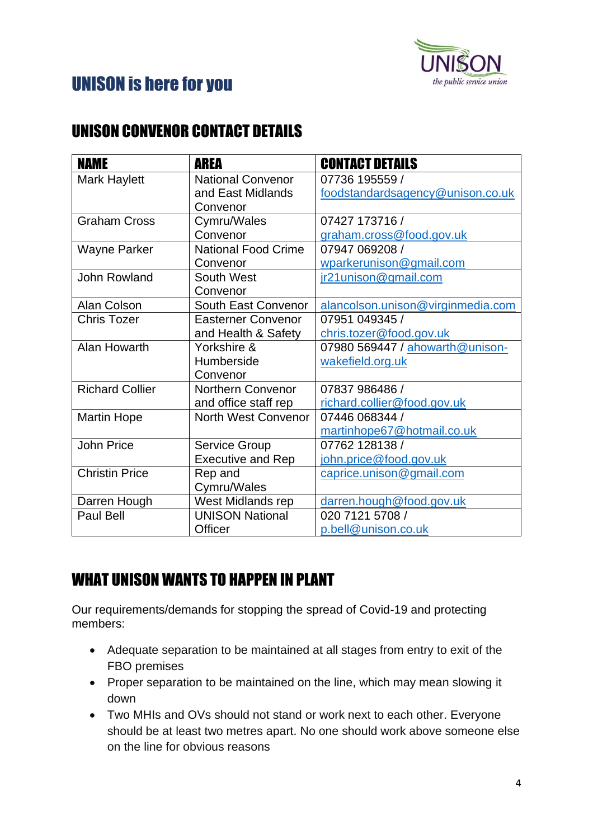

# UNISON is here for you

## UNISON CONVENOR CONTACT DETAILS

| <b>NAME</b>            | <b>AREA</b>                | <b>CONTACT DETAILS</b>            |
|------------------------|----------------------------|-----------------------------------|
| <b>Mark Haylett</b>    | <b>National Convenor</b>   | 07736 195559 /                    |
|                        | and East Midlands          | foodstandardsagency@unison.co.uk  |
|                        | Convenor                   |                                   |
| <b>Graham Cross</b>    | Cymru/Wales                | 07427 173716 /                    |
|                        | Convenor                   | graham.cross@food.gov.uk          |
| <b>Wayne Parker</b>    | <b>National Food Crime</b> | 07947 069208 /                    |
|                        | Convenor                   | wparkerunison@gmail.com           |
| <b>John Rowland</b>    | South West                 | ir21unison@gmail.com              |
|                        | Convenor                   |                                   |
| <b>Alan Colson</b>     | South East Convenor        | alancolson.unison@virginmedia.com |
| <b>Chris Tozer</b>     | <b>Easterner Convenor</b>  | 07951 049345 /                    |
|                        | and Health & Safety        | chris.tozer@food.gov.uk           |
| Alan Howarth           | Yorkshire &                | 07980 569447 / ahowarth@unison-   |
|                        | Humberside                 | wakefield.org.uk                  |
|                        | Convenor                   |                                   |
| <b>Richard Collier</b> | <b>Northern Convenor</b>   | 07837 986486 /                    |
|                        | and office staff rep       | richard.collier@food.gov.uk       |
| <b>Martin Hope</b>     | <b>North West Convenor</b> | 07446 068344 /                    |
|                        |                            | martinhope67@hotmail.co.uk        |
| <b>John Price</b>      | <b>Service Group</b>       | 07762 128138 /                    |
|                        | <b>Executive and Rep</b>   | john.price@food.gov.uk            |
| <b>Christin Price</b>  | Rep and                    | caprice.unison@gmail.com          |
|                        | Cymru/Wales                |                                   |
| Darren Hough           | West Midlands rep          | darren.hough@food.gov.uk          |
| Paul Bell              | <b>UNISON National</b>     | 020 7121 5708 /                   |
|                        | Officer                    | p.bell@unison.co.uk               |

# WHAT UNISON WANTS TO HAPPEN IN PLANT

Our requirements/demands for stopping the spread of Covid-19 and protecting members:

- Adequate separation to be maintained at all stages from entry to exit of the FBO premises
- Proper separation to be maintained on the line, which may mean slowing it down
- Two MHIs and OVs should not stand or work next to each other. Everyone should be at least two metres apart. No one should work above someone else on the line for obvious reasons